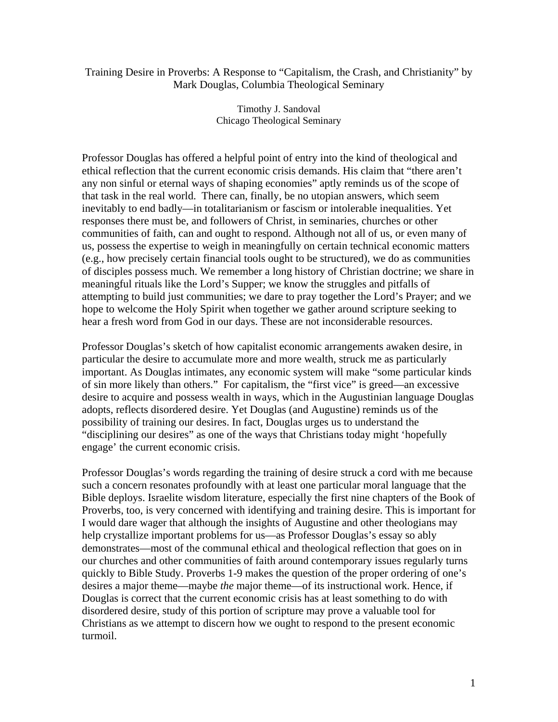## Training Desire in Proverbs: A Response to "Capitalism, the Crash, and Christianity" by Mark Douglas, Columbia Theological Seminary

Timothy J. Sandoval Chicago Theological Seminary

Professor Douglas has offered a helpful point of entry into the kind of theological and ethical reflection that the current economic crisis demands. His claim that "there aren't any non sinful or eternal ways of shaping economies" aptly reminds us of the scope of that task in the real world. There can, finally, be no utopian answers, which seem inevitably to end badly—in totalitarianism or fascism or intolerable inequalities. Yet responses there must be, and followers of Christ, in seminaries, churches or other communities of faith, can and ought to respond. Although not all of us, or even many of us, possess the expertise to weigh in meaningfully on certain technical economic matters (e.g., how precisely certain financial tools ought to be structured), we do as communities of disciples possess much. We remember a long history of Christian doctrine; we share in meaningful rituals like the Lord's Supper; we know the struggles and pitfalls of attempting to build just communities; we dare to pray together the Lord's Prayer; and we hope to welcome the Holy Spirit when together we gather around scripture seeking to hear a fresh word from God in our days. These are not inconsiderable resources.

Professor Douglas's sketch of how capitalist economic arrangements awaken desire, in particular the desire to accumulate more and more wealth, struck me as particularly important. As Douglas intimates, any economic system will make "some particular kinds of sin more likely than others." For capitalism, the "first vice" is greed—an excessive desire to acquire and possess wealth in ways, which in the Augustinian language Douglas adopts, reflects disordered desire. Yet Douglas (and Augustine) reminds us of the possibility of training our desires. In fact, Douglas urges us to understand the "disciplining our desires" as one of the ways that Christians today might 'hopefully engage' the current economic crisis.

Professor Douglas's words regarding the training of desire struck a cord with me because such a concern resonates profoundly with at least one particular moral language that the Bible deploys. Israelite wisdom literature, especially the first nine chapters of the Book of Proverbs, too, is very concerned with identifying and training desire. This is important for I would dare wager that although the insights of Augustine and other theologians may help crystallize important problems for us—as Professor Douglas's essay so ably demonstrates—most of the communal ethical and theological reflection that goes on in our churches and other communities of faith around contemporary issues regularly turns quickly to Bible Study. Proverbs 1-9 makes the question of the proper ordering of one's desires a major theme—maybe *the* major theme—of its instructional work. Hence, if Douglas is correct that the current economic crisis has at least something to do with disordered desire, study of this portion of scripture may prove a valuable tool for Christians as we attempt to discern how we ought to respond to the present economic turmoil.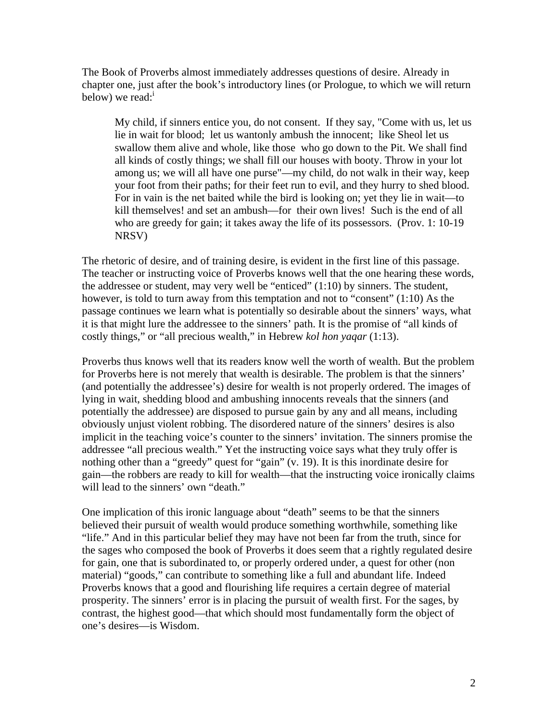The Book of Proverbs almost immediately addresses questions of desire. Already in chapter one, just after the book's introductory lines (or Prologue, to which we will return below) we read: $\frac{1}{1}$ 

 My child, if sinners entice you, do not consent. If they say, "Come with us, let us lie in wait for blood; let us wantonly ambush the innocent; like Sheol let us swallow them alive and whole, like those who go down to the Pit. We shall find all kinds of costly things; we shall fill our houses with booty. Throw in your lot among us; we will all have one purse"—my child, do not walk in their way, keep your foot from their paths; for their feet run to evil, and they hurry to shed blood. For in vain is the net baited while the bird is looking on; yet they lie in wait—to kill themselves! and set an ambush—for their own lives! Such is the end of all who are greedy for gain; it takes away the life of its possessors. (Prov. 1: 10-19 NRSV)

The rhetoric of desire, and of training desire, is evident in the first line of this passage. The teacher or instructing voice of Proverbs knows well that the one hearing these words, the addressee or student, may very well be "enticed" (1:10) by sinners. The student, however, is told to turn away from this temptation and not to "consent" (1:10) As the passage continues we learn what is potentially so desirable about the sinners' ways, what it is that might lure the addressee to the sinners' path. It is the promise of "all kinds of costly things," or "all precious wealth," in Hebrew *kol hon yaqar* (1:13).

Proverbs thus knows well that its readers know well the worth of wealth. But the problem for Proverbs here is not merely that wealth is desirable. The problem is that the sinners' (and potentially the addressee's) desire for wealth is not properly ordered. The images of lying in wait, shedding blood and ambushing innocents reveals that the sinners (and potentially the addressee) are disposed to pursue gain by any and all means, including obviously unjust violent robbing. The disordered nature of the sinners' desires is also implicit in the teaching voice's counter to the sinners' invitation. The sinners promise the addressee "all precious wealth." Yet the instructing voice says what they truly offer is nothing other than a "greedy" quest for "gain" (v. 19). It is this inordinate desire for gain—the robbers are ready to kill for wealth—that the instructing voice ironically claims will lead to the sinners' own "death."

One implication of this ironic language about "death" seems to be that the sinners believed their pursuit of wealth would produce something worthwhile, something like "life." And in this particular belief they may have not been far from the truth, since for the sages who composed the book of Proverbs it does seem that a rightly regulated desire for gain, one that is subordinated to, or properly ordered under, a quest for other (non material) "goods," can contribute to something like a full and abundant life. Indeed Proverbs knows that a good and flourishing life requires a certain degree of material prosperity. The sinners' error is in placing the pursuit of wealth first. For the sages, by contrast, the highest good—that which should most fundamentally form the object of one's desires—is Wisdom.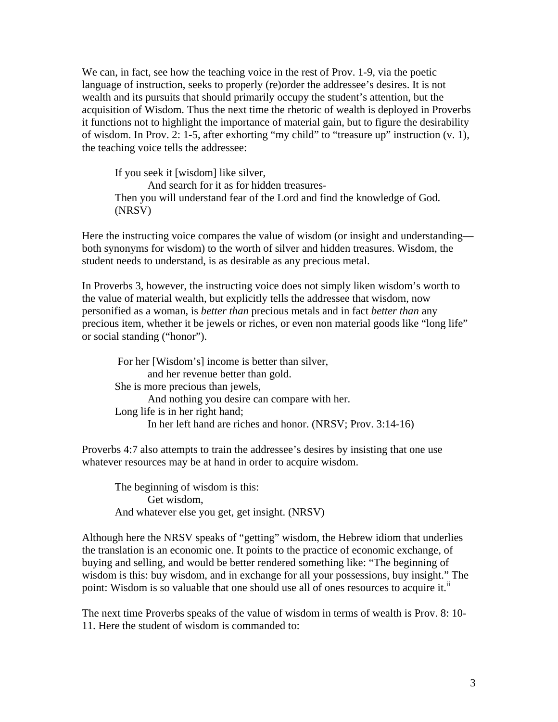We can, in fact, see how the teaching voice in the rest of Prov. 1-9, via the poetic language of instruction, seeks to properly (re)order the addressee's desires. It is not wealth and its pursuits that should primarily occupy the student's attention, but the acquisition of Wisdom. Thus the next time the rhetoric of wealth is deployed in Proverbs it functions not to highlight the importance of material gain, but to figure the desirability of wisdom. In Prov. 2: 1-5, after exhorting "my child" to "treasure up" instruction (v. 1), the teaching voice tells the addressee:

 If you seek it [wisdom] like silver, And search for it as for hidden treasures- Then you will understand fear of the Lord and find the knowledge of God. (NRSV)

Here the instructing voice compares the value of wisdom (or insight and understanding both synonyms for wisdom) to the worth of silver and hidden treasures. Wisdom, the student needs to understand, is as desirable as any precious metal.

In Proverbs 3, however, the instructing voice does not simply liken wisdom's worth to the value of material wealth, but explicitly tells the addressee that wisdom, now personified as a woman, is *better than* precious metals and in fact *better than* any precious item, whether it be jewels or riches, or even non material goods like "long life" or social standing ("honor").

 For her [Wisdom's] income is better than silver, and her revenue better than gold. She is more precious than jewels, And nothing you desire can compare with her. Long life is in her right hand; In her left hand are riches and honor. (NRSV; Prov. 3:14-16)

Proverbs 4:7 also attempts to train the addressee's desires by insisting that one use whatever resources may be at hand in order to acquire wisdom.

The beginning of wisdom is this: Get wisdom, And whatever else you get, get insight. (NRSV)

Although here the NRSV speaks of "getting" wisdom, the Hebrew idiom that underlies the translation is an economic one. It points to the practice of economic exchange, of buying and selling, and would be better rendered something like: "The beginning of wisdom is this: buy wisdom, and in exchange for all your possessions, buy insight." The point: Wisdom is so valuable that one should use all of ones resources to acquire it.<sup>ii</sup>

The next time Proverbs speaks of the value of wisdom in terms of wealth is Prov. 8: 10- 11. Here the student of wisdom is commanded to: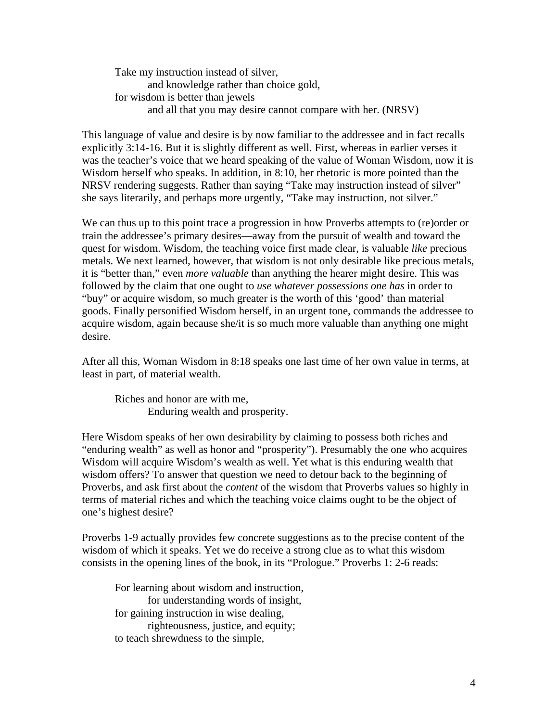Take my instruction instead of silver, and knowledge rather than choice gold, for wisdom is better than jewels and all that you may desire cannot compare with her. (NRSV)

This language of value and desire is by now familiar to the addressee and in fact recalls explicitly 3:14-16. But it is slightly different as well. First, whereas in earlier verses it was the teacher's voice that we heard speaking of the value of Woman Wisdom, now it is Wisdom herself who speaks. In addition, in 8:10, her rhetoric is more pointed than the NRSV rendering suggests. Rather than saying "Take may instruction instead of silver" she says literarily, and perhaps more urgently, "Take may instruction, not silver."

We can thus up to this point trace a progression in how Proverbs attempts to (re)order or train the addressee's primary desires—away from the pursuit of wealth and toward the quest for wisdom. Wisdom, the teaching voice first made clear, is valuable *like* precious metals. We next learned, however, that wisdom is not only desirable like precious metals, it is "better than," even *more valuable* than anything the hearer might desire. This was followed by the claim that one ought to *use whatever possessions one has* in order to "buy" or acquire wisdom, so much greater is the worth of this 'good' than material goods. Finally personified Wisdom herself, in an urgent tone, commands the addressee to acquire wisdom, again because she/it is so much more valuable than anything one might desire.

After all this, Woman Wisdom in 8:18 speaks one last time of her own value in terms, at least in part, of material wealth.

 Riches and honor are with me, Enduring wealth and prosperity.

Here Wisdom speaks of her own desirability by claiming to possess both riches and "enduring wealth" as well as honor and "prosperity"). Presumably the one who acquires Wisdom will acquire Wisdom's wealth as well. Yet what is this enduring wealth that wisdom offers? To answer that question we need to detour back to the beginning of Proverbs, and ask first about the *content* of the wisdom that Proverbs values so highly in terms of material riches and which the teaching voice claims ought to be the object of one's highest desire?

Proverbs 1-9 actually provides few concrete suggestions as to the precise content of the wisdom of which it speaks. Yet we do receive a strong clue as to what this wisdom consists in the opening lines of the book, in its "Prologue." Proverbs 1: 2-6 reads:

 For learning about wisdom and instruction, for understanding words of insight, for gaining instruction in wise dealing, righteousness, justice, and equity; to teach shrewdness to the simple,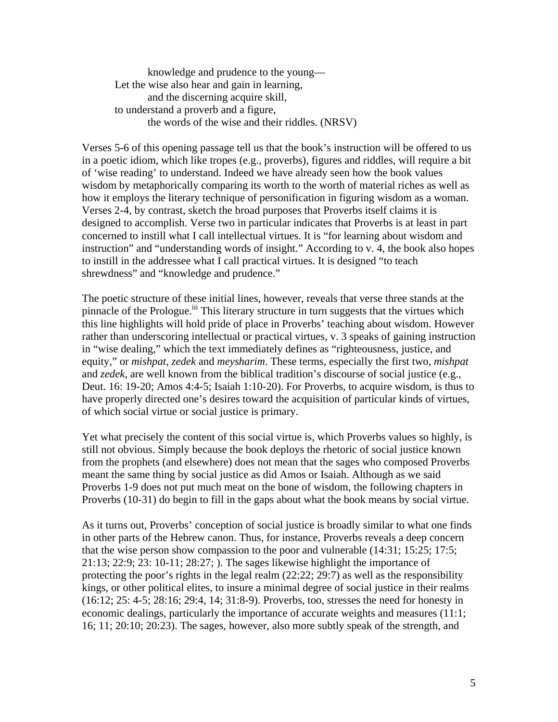knowledge and prudence to the young— Let the wise also hear and gain in learning, and the discerning acquire skill, to understand a proverb and a figure, the words of the wise and their riddles. (NRSV)

Verses 5-6 of this opening passage tell us that the book's instruction will be offered to us in a poetic idiom, which like tropes (e.g., proverbs), figures and riddles, will require a bit of 'wise reading' to understand. Indeed we have already seen how the book values wisdom by metaphorically comparing its worth to the worth of material riches as well as how it employs the literary technique of personification in figuring wisdom as a woman. Verses 2-4, by contrast, sketch the broad purposes that Proverbs itself claims it is designed to accomplish. Verse two in particular indicates that Proverbs is at least in part concerned to instill what I call intellectual virtues. It is "for learning about wisdom and instruction" and "understanding words of insight." According to v. 4, the book also hopes to instill in the addressee what I call practical virtues. It is designed "to teach shrewdness" and "knowledge and prudence."

The poetic structure of these initial lines, however, reveals that verse three stands at the pinnacle of the Prologue.<sup>iii</sup> This literary structure in turn suggests that the virtues which this line highlights will hold pride of place in Proverbs' teaching about wisdom. However rather than underscoring intellectual or practical virtues, v. 3 speaks of gaining instruction in "wise dealing," which the text immediately defines as "righteousness, justice, and equity," or *mishpat*, *zedek* and *meysharim*. These terms, especially the first two, *mishpat* and *zedek*, are well known from the biblical tradition's discourse of social justice (e.g., Deut. 16: 19-20; Amos 4:4-5; Isaiah 1:10-20). For Proverbs, to acquire wisdom, is thus to have properly directed one's desires toward the acquisition of particular kinds of virtues, of which social virtue or social justice is primary.

Yet what precisely the content of this social virtue is, which Proverbs values so highly, is still not obvious. Simply because the book deploys the rhetoric of social justice known from the prophets (and elsewhere) does not mean that the sages who composed Proverbs meant the same thing by social justice as did Amos or Isaiah. Although as we said Proverbs 1-9 does not put much meat on the bone of wisdom, the following chapters in Proverbs (10-31) do begin to fill in the gaps about what the book means by social virtue.

As it turns out, Proverbs' conception of social justice is broadly similar to what one finds in other parts of the Hebrew canon. Thus, for instance, Proverbs reveals a deep concern that the wise person show compassion to the poor and vulnerable (14:31; 15:25; 17:5; 21:13; 22:9; 23: 10-11; 28:27; ). The sages likewise highlight the importance of protecting the poor's rights in the legal realm  $(22:22; 29:7)$  as well as the responsibility kings, or other political elites, to insure a minimal degree of social justice in their realms (16:12; 25: 4-5; 28:16; 29:4, 14; 31:8-9). Proverbs, too, stresses the need for honesty in economic dealings, particularly the importance of accurate weights and measures (11:1; 16; 11; 20:10; 20:23). The sages, however, also more subtly speak of the strength, and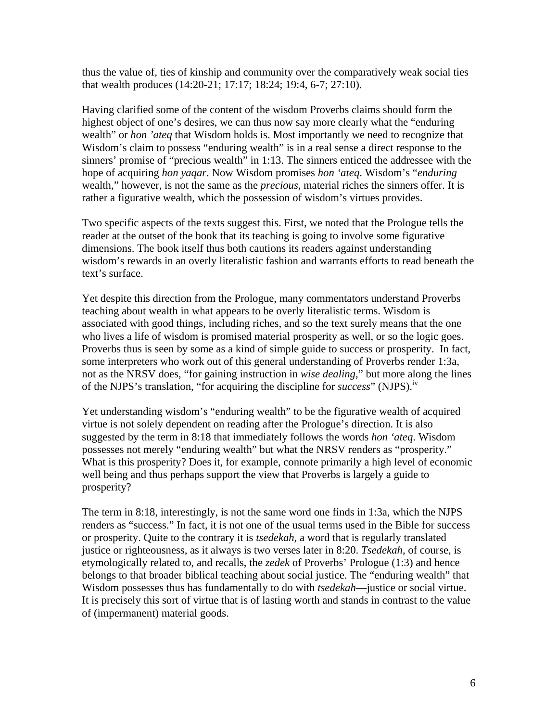thus the value of, ties of kinship and community over the comparatively weak social ties that wealth produces (14:20-21; 17:17; 18:24; 19:4, 6-7; 27:10).

Having clarified some of the content of the wisdom Proverbs claims should form the highest object of one's desires, we can thus now say more clearly what the "enduring wealth" or *hon 'ateq* that Wisdom holds is. Most importantly we need to recognize that Wisdom's claim to possess "enduring wealth" is in a real sense a direct response to the sinners' promise of "precious wealth" in 1:13. The sinners enticed the addressee with the hope of acquiring *hon yaqar*. Now Wisdom promises *hon 'ateq*. Wisdom's "*enduring* wealth," however, is not the same as the *precious*, material riches the sinners offer. It is rather a figurative wealth, which the possession of wisdom's virtues provides.

Two specific aspects of the texts suggest this. First, we noted that the Prologue tells the reader at the outset of the book that its teaching is going to involve some figurative dimensions. The book itself thus both cautions its readers against understanding wisdom's rewards in an overly literalistic fashion and warrants efforts to read beneath the text's surface.

Yet despite this direction from the Prologue, many commentators understand Proverbs teaching about wealth in what appears to be overly literalistic terms. Wisdom is associated with good things, including riches, and so the text surely means that the one who lives a life of wisdom is promised material prosperity as well, or so the logic goes. Proverbs thus is seen by some as a kind of simple guide to success or prosperity. In fact, some interpreters who work out of this general understanding of Proverbs render 1:3a, not as the NRSV does, "for gaining instruction in *wise dealing*," but more along the lines of the NJPS's translation, "for acquiring the discipline for *success*" (NJPS).<sup>iv</sup>

Yet understanding wisdom's "enduring wealth" to be the figurative wealth of acquired virtue is not solely dependent on reading after the Prologue's direction. It is also suggested by the term in 8:18 that immediately follows the words *hon 'ateq*. Wisdom possesses not merely "enduring wealth" but what the NRSV renders as "prosperity." What is this prosperity? Does it, for example, connote primarily a high level of economic well being and thus perhaps support the view that Proverbs is largely a guide to prosperity?

The term in 8:18, interestingly, is not the same word one finds in 1:3a, which the NJPS renders as "success." In fact, it is not one of the usual terms used in the Bible for success or prosperity. Quite to the contrary it is *tsedekah*, a word that is regularly translated justice or righteousness, as it always is two verses later in 8:20. *Tsedekah*, of course, is etymologically related to, and recalls, the *zedek* of Proverbs' Prologue (1:3) and hence belongs to that broader biblical teaching about social justice. The "enduring wealth" that Wisdom possesses thus has fundamentally to do with *tsedekah*—justice or social virtue. It is precisely this sort of virtue that is of lasting worth and stands in contrast to the value of (impermanent) material goods.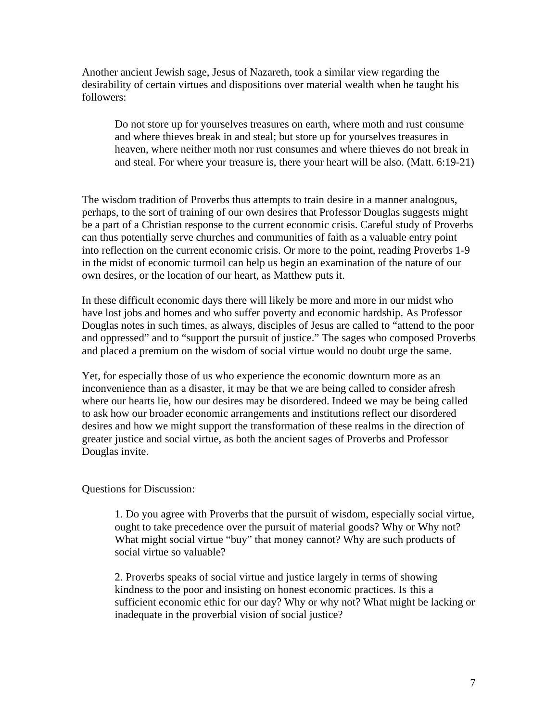Another ancient Jewish sage, Jesus of Nazareth, took a similar view regarding the desirability of certain virtues and dispositions over material wealth when he taught his followers:

Do not store up for yourselves treasures on earth, where moth and rust consume and where thieves break in and steal; but store up for yourselves treasures in heaven, where neither moth nor rust consumes and where thieves do not break in and steal. For where your treasure is, there your heart will be also. (Matt. 6:19-21)

The wisdom tradition of Proverbs thus attempts to train desire in a manner analogous, perhaps, to the sort of training of our own desires that Professor Douglas suggests might be a part of a Christian response to the current economic crisis. Careful study of Proverbs can thus potentially serve churches and communities of faith as a valuable entry point into reflection on the current economic crisis. Or more to the point, reading Proverbs 1-9 in the midst of economic turmoil can help us begin an examination of the nature of our own desires, or the location of our heart, as Matthew puts it.

In these difficult economic days there will likely be more and more in our midst who have lost jobs and homes and who suffer poverty and economic hardship. As Professor Douglas notes in such times, as always, disciples of Jesus are called to "attend to the poor and oppressed" and to "support the pursuit of justice." The sages who composed Proverbs and placed a premium on the wisdom of social virtue would no doubt urge the same.

Yet, for especially those of us who experience the economic downturn more as an inconvenience than as a disaster, it may be that we are being called to consider afresh where our hearts lie, how our desires may be disordered. Indeed we may be being called to ask how our broader economic arrangements and institutions reflect our disordered desires and how we might support the transformation of these realms in the direction of greater justice and social virtue, as both the ancient sages of Proverbs and Professor Douglas invite.

Questions for Discussion:

 1. Do you agree with Proverbs that the pursuit of wisdom, especially social virtue, ought to take precedence over the pursuit of material goods? Why or Why not? What might social virtue "buy" that money cannot? Why are such products of social virtue so valuable?

2. Proverbs speaks of social virtue and justice largely in terms of showing kindness to the poor and insisting on honest economic practices. Is this a sufficient economic ethic for our day? Why or why not? What might be lacking or inadequate in the proverbial vision of social justice?